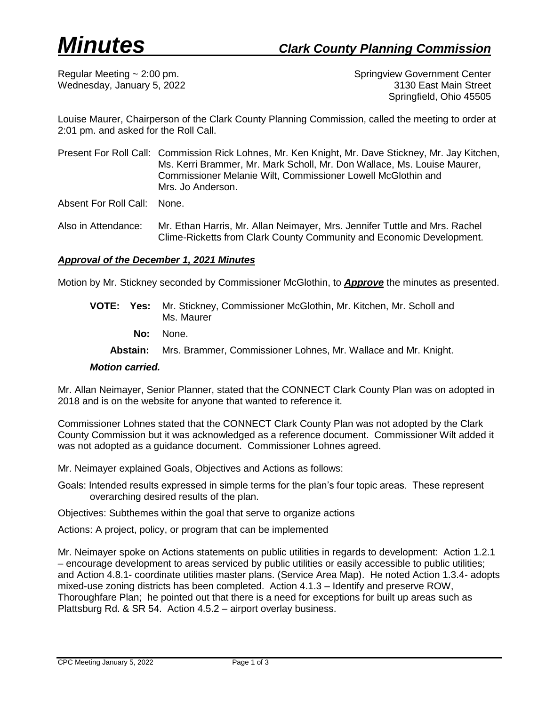Regular Meeting ~ 2:00 pm. Springview Government Center Wednesday, January 5, 2022 **3130 East Main Street** Springfield, Ohio 45505

Louise Maurer, Chairperson of the Clark County Planning Commission, called the meeting to order at 2:01 pm. and asked for the Roll Call.

Present For Roll Call: Commission Rick Lohnes, Mr. Ken Knight, Mr. Dave Stickney, Mr. Jay Kitchen, Ms. Kerri Brammer, Mr. Mark Scholl, Mr. Don Wallace, Ms. Louise Maurer, Commissioner Melanie Wilt, Commissioner Lowell McGlothin and Mrs. Jo Anderson.

Absent For Roll Call: None.

Also in Attendance: Mr. Ethan Harris, Mr. Allan Neimayer, Mrs. Jennifer Tuttle and Mrs. Rachel Clime-Ricketts from Clark County Community and Economic Development.

### *Approval of the December 1, 2021 Minutes*

Motion by Mr. Stickney seconded by Commissioner McGlothin, to *Approve* the minutes as presented.

- **VOTE: Yes:** Mr. Stickney, Commissioner McGlothin, Mr. Kitchen, Mr. Scholl and Ms. Maurer
	- **No:** None.
	- **Abstain:** Mrs. Brammer, Commissioner Lohnes, Mr. Wallace and Mr. Knight.

#### *Motion carried.*

Mr. Allan Neimayer, Senior Planner, stated that the CONNECT Clark County Plan was on adopted in 2018 and is on the website for anyone that wanted to reference it.

Commissioner Lohnes stated that the CONNECT Clark County Plan was not adopted by the Clark County Commission but it was acknowledged as a reference document. Commissioner Wilt added it was not adopted as a guidance document. Commissioner Lohnes agreed.

Mr. Neimayer explained Goals, Objectives and Actions as follows:

Goals: Intended results expressed in simple terms for the plan's four topic areas. These represent overarching desired results of the plan.

Objectives: Subthemes within the goal that serve to organize actions

Actions: A project, policy, or program that can be implemented

Mr. Neimayer spoke on Actions statements on public utilities in regards to development: Action 1.2.1 – encourage development to areas serviced by public utilities or easily accessible to public utilities; and Action 4.8.1- coordinate utilities master plans. (Service Area Map). He noted Action 1.3.4- adopts mixed-use zoning districts has been completed. Action 4.1.3 – Identify and preserve ROW, Thoroughfare Plan; he pointed out that there is a need for exceptions for built up areas such as Plattsburg Rd. & SR 54. Action 4.5.2 – airport overlay business.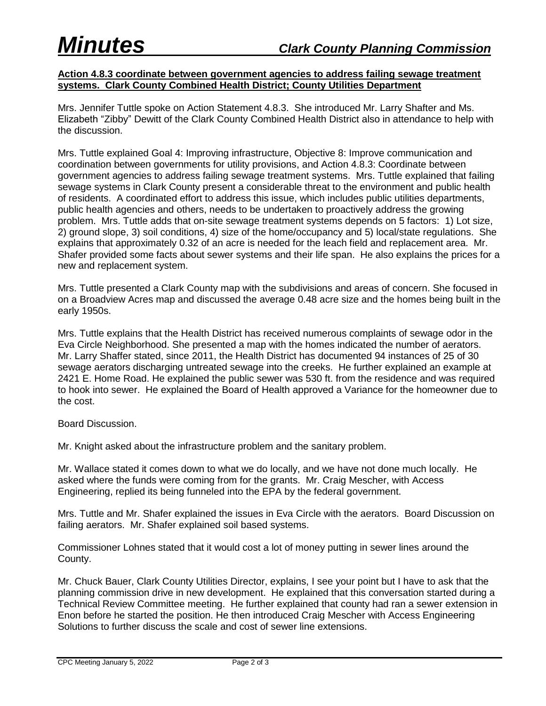## **Action 4.8.3 coordinate between government agencies to address failing sewage treatment systems. Clark County Combined Health District; County Utilities Department**

Mrs. Jennifer Tuttle spoke on Action Statement 4.8.3. She introduced Mr. Larry Shafter and Ms. Elizabeth "Zibby" Dewitt of the Clark County Combined Health District also in attendance to help with the discussion.

Mrs. Tuttle explained Goal 4: Improving infrastructure, Objective 8: Improve communication and coordination between governments for utility provisions, and Action 4.8.3: Coordinate between government agencies to address failing sewage treatment systems. Mrs. Tuttle explained that failing sewage systems in Clark County present a considerable threat to the environment and public health of residents. A coordinated effort to address this issue, which includes public utilities departments, public health agencies and others, needs to be undertaken to proactively address the growing problem. Mrs. Tuttle adds that on-site sewage treatment systems depends on 5 factors: 1) Lot size, 2) ground slope, 3) soil conditions, 4) size of the home/occupancy and 5) local/state regulations. She explains that approximately 0.32 of an acre is needed for the leach field and replacement area. Mr. Shafer provided some facts about sewer systems and their life span. He also explains the prices for a new and replacement system.

Mrs. Tuttle presented a Clark County map with the subdivisions and areas of concern. She focused in on a Broadview Acres map and discussed the average 0.48 acre size and the homes being built in the early 1950s.

Mrs. Tuttle explains that the Health District has received numerous complaints of sewage odor in the Eva Circle Neighborhood. She presented a map with the homes indicated the number of aerators. Mr. Larry Shaffer stated, since 2011, the Health District has documented 94 instances of 25 of 30 sewage aerators discharging untreated sewage into the creeks. He further explained an example at 2421 E. Home Road. He explained the public sewer was 530 ft. from the residence and was required to hook into sewer. He explained the Board of Health approved a Variance for the homeowner due to the cost.

Board Discussion.

Mr. Knight asked about the infrastructure problem and the sanitary problem.

Mr. Wallace stated it comes down to what we do locally, and we have not done much locally. He asked where the funds were coming from for the grants. Mr. Craig Mescher, with Access Engineering, replied its being funneled into the EPA by the federal government.

Mrs. Tuttle and Mr. Shafer explained the issues in Eva Circle with the aerators. Board Discussion on failing aerators. Mr. Shafer explained soil based systems.

Commissioner Lohnes stated that it would cost a lot of money putting in sewer lines around the County.

Mr. Chuck Bauer, Clark County Utilities Director, explains, I see your point but I have to ask that the planning commission drive in new development. He explained that this conversation started during a Technical Review Committee meeting. He further explained that county had ran a sewer extension in Enon before he started the position. He then introduced Craig Mescher with Access Engineering Solutions to further discuss the scale and cost of sewer line extensions.